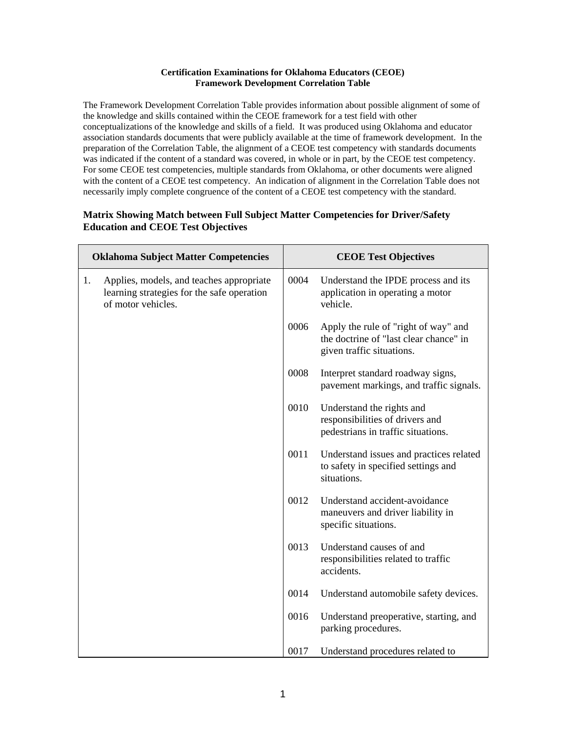## **Certification Examinations for Oklahoma Educators (CEOE) Framework Development Correlation Table**

The Framework Development Correlation Table provides information about possible alignment of some of the knowledge and skills contained within the CEOE framework for a test field with other conceptualizations of the knowledge and skills of a field. It was produced using Oklahoma and educator association standards documents that were publicly available at the time of framework development. In the preparation of the Correlation Table, the alignment of a CEOE test competency with standards documents was indicated if the content of a standard was covered, in whole or in part, by the CEOE test competency. For some CEOE test competencies, multiple standards from Oklahoma, or other documents were aligned with the content of a CEOE test competency. An indication of alignment in the Correlation Table does not necessarily imply complete congruence of the content of a CEOE test competency with the standard.

## **Matrix Showing Match between Full Subject Matter Competencies for Driver/Safety Education and CEOE Test Objectives**

| <b>Oklahoma Subject Matter Competencies</b> |                                                                                                              | <b>CEOE Test Objectives</b> |                                                                                                             |
|---------------------------------------------|--------------------------------------------------------------------------------------------------------------|-----------------------------|-------------------------------------------------------------------------------------------------------------|
| 1.                                          | Applies, models, and teaches appropriate<br>learning strategies for the safe operation<br>of motor vehicles. | 0004                        | Understand the IPDE process and its<br>application in operating a motor<br>vehicle.                         |
|                                             |                                                                                                              | 0006                        | Apply the rule of "right of way" and<br>the doctrine of "last clear chance" in<br>given traffic situations. |
|                                             |                                                                                                              | 0008                        | Interpret standard roadway signs,<br>pavement markings, and traffic signals.                                |
|                                             |                                                                                                              | 0010                        | Understand the rights and<br>responsibilities of drivers and<br>pedestrians in traffic situations.          |
|                                             |                                                                                                              | 0011                        | Understand issues and practices related<br>to safety in specified settings and<br>situations.               |
|                                             |                                                                                                              | 0012                        | Understand accident-avoidance<br>maneuvers and driver liability in<br>specific situations.                  |
|                                             |                                                                                                              | 0013                        | Understand causes of and<br>responsibilities related to traffic<br>accidents.                               |
|                                             |                                                                                                              | 0014                        | Understand automobile safety devices.                                                                       |
|                                             |                                                                                                              | 0016                        | Understand preoperative, starting, and<br>parking procedures.                                               |
|                                             |                                                                                                              | 0017                        | Understand procedures related to                                                                            |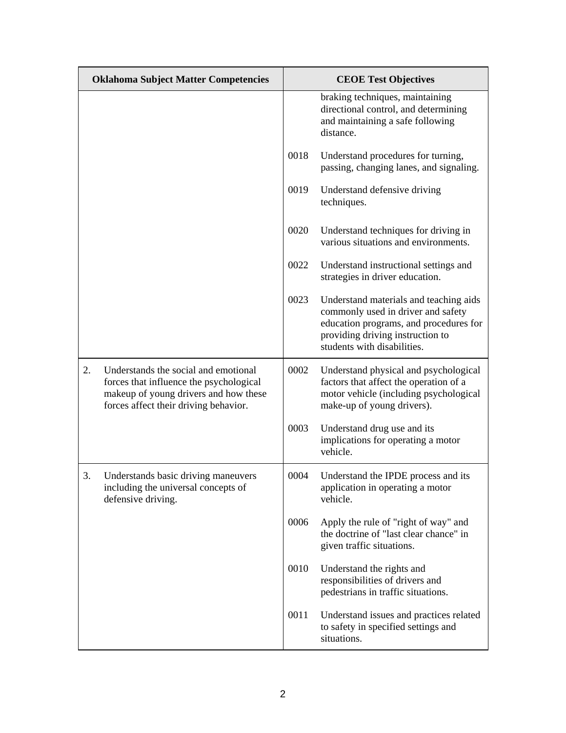| <b>Oklahoma Subject Matter Competencies</b> |                                                                                                                                                                   | <b>CEOE Test Objectives</b> |                                                                                                                                                                                           |
|---------------------------------------------|-------------------------------------------------------------------------------------------------------------------------------------------------------------------|-----------------------------|-------------------------------------------------------------------------------------------------------------------------------------------------------------------------------------------|
|                                             |                                                                                                                                                                   |                             | braking techniques, maintaining<br>directional control, and determining<br>and maintaining a safe following<br>distance.                                                                  |
|                                             |                                                                                                                                                                   | 0018                        | Understand procedures for turning,<br>passing, changing lanes, and signaling.                                                                                                             |
|                                             |                                                                                                                                                                   | 0019                        | Understand defensive driving<br>techniques.                                                                                                                                               |
|                                             |                                                                                                                                                                   | 0020                        | Understand techniques for driving in<br>various situations and environments.                                                                                                              |
|                                             |                                                                                                                                                                   | 0022                        | Understand instructional settings and<br>strategies in driver education.                                                                                                                  |
|                                             |                                                                                                                                                                   | 0023                        | Understand materials and teaching aids<br>commonly used in driver and safety<br>education programs, and procedures for<br>providing driving instruction to<br>students with disabilities. |
| 2.                                          | Understands the social and emotional<br>forces that influence the psychological<br>makeup of young drivers and how these<br>forces affect their driving behavior. | 0002                        | Understand physical and psychological<br>factors that affect the operation of a<br>motor vehicle (including psychological<br>make-up of young drivers).                                   |
|                                             |                                                                                                                                                                   | 0003                        | Understand drug use and its<br>implications for operating a motor<br>vehicle.                                                                                                             |
| 3.                                          | Understands basic driving maneuvers<br>including the universal concepts of<br>defensive driving.                                                                  | 0004                        | Understand the IPDE process and its<br>application in operating a motor<br>vehicle.                                                                                                       |
|                                             |                                                                                                                                                                   | 0006                        | Apply the rule of "right of way" and<br>the doctrine of "last clear chance" in<br>given traffic situations.                                                                               |
|                                             |                                                                                                                                                                   | 0010                        | Understand the rights and<br>responsibilities of drivers and<br>pedestrians in traffic situations.                                                                                        |
|                                             |                                                                                                                                                                   | 0011                        | Understand issues and practices related<br>to safety in specified settings and<br>situations.                                                                                             |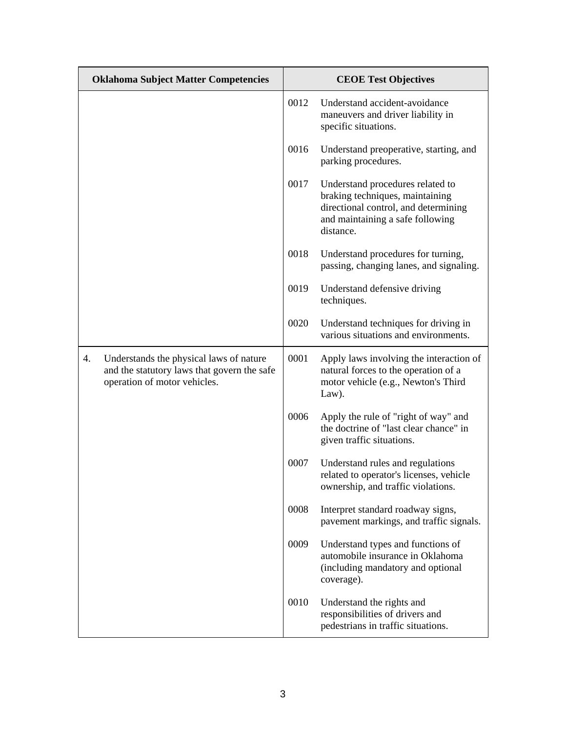| <b>Oklahoma Subject Matter Competencies</b> |                                                                                                                        | <b>CEOE Test Objectives</b> |                                                                                                                                                              |
|---------------------------------------------|------------------------------------------------------------------------------------------------------------------------|-----------------------------|--------------------------------------------------------------------------------------------------------------------------------------------------------------|
|                                             |                                                                                                                        | 0012                        | Understand accident-avoidance<br>maneuvers and driver liability in<br>specific situations.                                                                   |
|                                             |                                                                                                                        | 0016                        | Understand preoperative, starting, and<br>parking procedures.                                                                                                |
|                                             |                                                                                                                        | 0017                        | Understand procedures related to<br>braking techniques, maintaining<br>directional control, and determining<br>and maintaining a safe following<br>distance. |
|                                             |                                                                                                                        | 0018                        | Understand procedures for turning,<br>passing, changing lanes, and signaling.                                                                                |
|                                             |                                                                                                                        | 0019                        | Understand defensive driving<br>techniques.                                                                                                                  |
|                                             |                                                                                                                        | 0020                        | Understand techniques for driving in<br>various situations and environments.                                                                                 |
| 4.                                          | Understands the physical laws of nature<br>and the statutory laws that govern the safe<br>operation of motor vehicles. | 0001                        | Apply laws involving the interaction of<br>natural forces to the operation of a<br>motor vehicle (e.g., Newton's Third<br>Law).                              |
|                                             |                                                                                                                        | 0006                        | Apply the rule of "right of way" and<br>the doctrine of "last clear chance" in<br>given traffic situations.                                                  |
|                                             |                                                                                                                        | 0007                        | Understand rules and regulations<br>related to operator's licenses, vehicle<br>ownership, and traffic violations.                                            |
|                                             |                                                                                                                        | 0008                        | Interpret standard roadway signs,<br>pavement markings, and traffic signals.                                                                                 |
|                                             |                                                                                                                        | 0009                        | Understand types and functions of<br>automobile insurance in Oklahoma<br>(including mandatory and optional<br>coverage).                                     |
|                                             |                                                                                                                        | 0010                        | Understand the rights and<br>responsibilities of drivers and<br>pedestrians in traffic situations.                                                           |